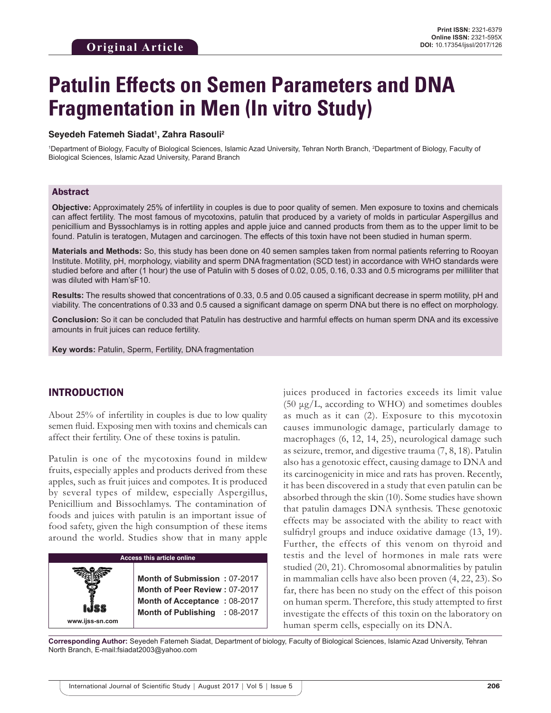# **Patulin Effects on Semen Parameters and DNA Fragmentation in Men (In vitro Study)**

#### **Seyedeh Fatemeh Siadat1 , Zahra Rasouli2**

<sup>1</sup>Department of Biology, Faculty of Biological Sciences, Islamic Azad University, Tehran North Branch, <sup>2</sup>Department of Biology, Faculty of Biological Sciences, Islamic Azad University, Parand Branch

#### Abstract

**Objective:** Approximately 25% of infertility in couples is due to poor quality of semen. Men exposure to toxins and chemicals can affect fertility. The most famous of mycotoxins, patulin that produced by a variety of molds in particular Aspergillus and penicillium and Byssochlamys is in rotting apples and apple juice and canned products from them as to the upper limit to be found. Patulin is teratogen, Mutagen and carcinogen. The effects of this toxin have not been studied in human sperm.

**Materials and Methods:** So, this study has been done on 40 semen samples taken from normal patients referring to Rooyan Institute. Motility, pH, morphology, viability and sperm DNA fragmentation (SCD test) in accordance with WHO standards were studied before and after (1 hour) the use of Patulin with 5 doses of 0.02, 0.05, 0.16, 0.33 and 0.5 micrograms per milliliter that was diluted with Ham'sF10.

**Results:** The results showed that concentrations of 0.33, 0.5 and 0.05 caused a significant decrease in sperm motility, pH and viability. The concentrations of 0.33 and 0.5 caused a significant damage on sperm DNA but there is no effect on morphology.

**Conclusion:** So it can be concluded that Patulin has destructive and harmful effects on human sperm DNA and its excessive amounts in fruit juices can reduce fertility.

**Key words:** Patulin, Sperm, Fertility, DNA fragmentation

# INTRODUCTION

About 25% of infertility in couples is due to low quality semen fluid. Exposing men with toxins and chemicals can affect their fertility. One of these toxins is patulin.

Patulin is one of the mycotoxins found in mildew fruits, especially apples and products derived from these apples, such as fruit juices and compotes. It is produced by several types of mildew, especially Aspergillus, Penicillium and Bissochlamys. The contamination of foods and juices with patulin is an important issue of food safety, given the high consumption of these items around the world. Studies show that in many apple



juices produced in factories exceeds its limit value (50  $\mu$ g/L, according to WHO) and sometimes doubles as much as it can (2). Exposure to this mycotoxin causes immunologic damage, particularly damage to macrophages (6, 12, 14, 25), neurological damage such as seizure, tremor, and digestive trauma (7, 8, 18). Patulin also has a genotoxic effect, causing damage to DNA and its carcinogenicity in mice and rats has proven. Recently, it has been discovered in a study that even patulin can be absorbed through the skin (10). Some studies have shown that patulin damages DNA synthesis. These genotoxic effects may be associated with the ability to react with sulfidryl groups and induce oxidative damage (13, 19). Further, the effects of this venom on thyroid and testis and the level of hormones in male rats were studied (20, 21). Chromosomal abnormalities by patulin in mammalian cells have also been proven (4, 22, 23). So far, there has been no study on the effect of this poison on human sperm. Therefore, this study attempted to first investigate the effects of this toxin on the laboratory on human sperm cells, especially on its DNA.

**Corresponding Author:** Seyedeh Fatemeh Siadat, Department of biology, Faculty of Biological Sciences, Islamic Azad University, Tehran North Branch, E-mail:fsiadat2003@yahoo.com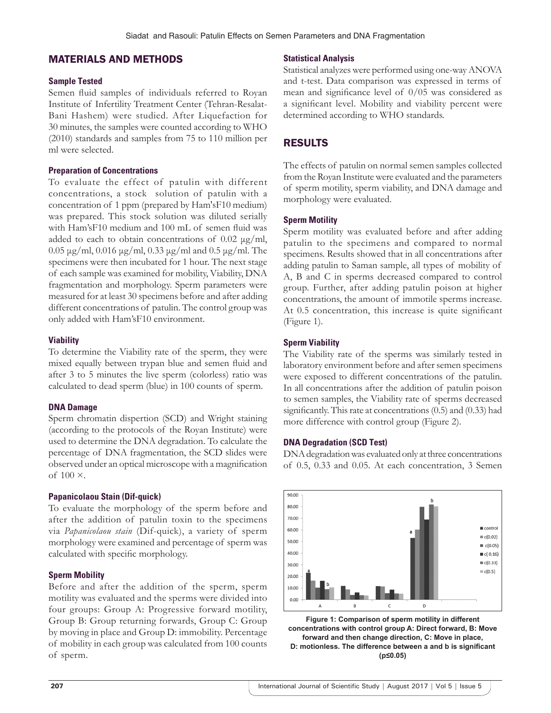# MATERIALS AND METHODS

#### **Sample Tested**

Semen fluid samples of individuals referred to Royan Institute of Infertility Treatment Center (Tehran-Resalat-Bani Hashem) were studied. After Liquefaction for 30 minutes, the samples were counted according to WHO (2010) standards and samples from 75 to 110 million per ml were selected.

#### **Preparation of Concentrations**

To evaluate the effect of patulin with different concentrations, a stock solution of patulin with a concentration of 1 ppm (prepared by Ham'sF10 medium) was prepared. This stock solution was diluted serially with Ham'sF10 medium and 100 mL of semen fluid was added to each to obtain concentrations of  $0.02 \mu g/ml$ , 0.05 μg/ml, 0.016 μg/ml, 0.33 μg/ml and 0.5 μg/ml. The specimens were then incubated for 1 hour. The next stage of each sample was examined for mobility, Viability, DNA fragmentation and morphology. Sperm parameters were measured for at least 30 specimens before and after adding different concentrations of patulin. The control group was only added with Ham'sF10 environment.

#### **Viability**

To determine the Viability rate of the sperm, they were mixed equally between trypan blue and semen fluid and after 3 to 5 minutes the live sperm (colorless) ratio was calculated to dead sperm (blue) in 100 counts of sperm.

# **DNA Damage**

Sperm chromatin dispertion (SCD) and Wright staining (according to the protocols of the Royan Institute) were used to determine the DNA degradation. To calculate the percentage of DNA fragmentation, the SCD slides were observed under an optical microscope with a magnification of 100 ×.

# **Papanicolaou Stain (Dif-quick)**

To evaluate the morphology of the sperm before and after the addition of patulin toxin to the specimens via *Papanicolaou stain* (Dif-quick), a variety of sperm morphology were examined and percentage of sperm was calculated with specific morphology.

# **Sperm Mobility**

Before and after the addition of the sperm, sperm motility was evaluated and the sperms were divided into four groups: Group A: Progressive forward motility, Group B: Group returning forwards, Group C: Group by moving in place and Group D: immobility. Percentage of mobility in each group was calculated from 100 counts of sperm.

### **Statistical Analysis**

Statistical analyzes were performed using one-way ANOVA and t-test. Data comparison was expressed in terms of mean and significance level of 0/05 was considered as a significant level. Mobility and viability percent were determined according to WHO standards.

# RESULTS

The effects of patulin on normal semen samples collected from the Royan Institute were evaluated and the parameters of sperm motility, sperm viability, and DNA damage and morphology were evaluated.

#### **Sperm Motility**

Sperm motility was evaluated before and after adding patulin to the specimens and compared to normal specimens. Results showed that in all concentrations after adding patulin to Saman sample, all types of mobility of A, B and C in sperms decreased compared to control group. Further, after adding patulin poison at higher concentrations, the amount of immotile sperms increase. At 0.5 concentration, this increase is quite significant (Figure 1).

# **Sperm Viability**

The Viability rate of the sperms was similarly tested in laboratory environment before and after semen specimens were exposed to different concentrations of the patulin. In all concentrations after the addition of patulin poison to semen samples, the Viability rate of sperms decreased significantly. This rate at concentrations (0.5) and (0.33) had more difference with control group (Figure 2).

# **DNA Degradation (SCD Test)**

DNA degradation was evaluated only at three concentrations of 0.5, 0.33 and 0.05. At each concentration, 3 Semen



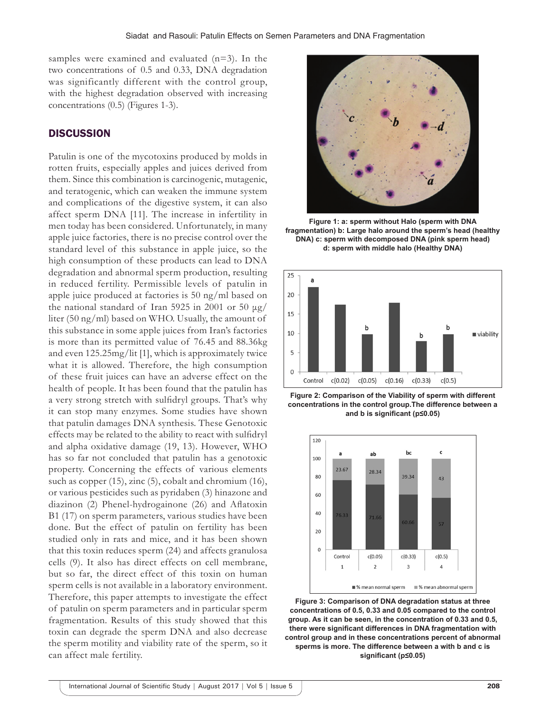samples were examined and evaluated (n=3). In the two concentrations of 0.5 and 0.33, DNA degradation was significantly different with the control group, with the highest degradation observed with increasing concentrations (0.5) (Figures 1-3).

### **DISCUSSION**

Patulin is one of the mycotoxins produced by molds in rotten fruits, especially apples and juices derived from them. Since this combination is carcinogenic, mutagenic, and teratogenic, which can weaken the immune system and complications of the digestive system, it can also affect sperm DNA [11]. The increase in infertility in men today has been considered. Unfortunately, in many apple juice factories, there is no precise control over the standard level of this substance in apple juice, so the high consumption of these products can lead to DNA degradation and abnormal sperm production, resulting in reduced fertility. Permissible levels of patulin in apple juice produced at factories is 50 ng/ml based on the national standard of Iran 5925 in 2001 or 50 μg/ liter (50 ng/ml) based on WHO. Usually, the amount of this substance in some apple juices from Iran's factories is more than its permitted value of 76.45 and 88.36kg and even 125.25mg/lit [1], which is approximately twice what it is allowed. Therefore, the high consumption of these fruit juices can have an adverse effect on the health of people. It has been found that the patulin has a very strong stretch with sulfidryl groups. That's why it can stop many enzymes. Some studies have shown that patulin damages DNA synthesis. These Genotoxic effects may be related to the ability to react with sulfidryl and alpha oxidative damage (19, 13). However, WHO has so far not concluded that patulin has a genotoxic property. Concerning the effects of various elements such as copper (15), zinc (5), cobalt and chromium (16), or various pesticides such as pyridaben (3) hinazone and diazinon (2) Phenel-hydrogainone (26) and Aflatoxin B1 (17) on sperm parameters, various studies have been done. But the effect of patulin on fertility has been studied only in rats and mice, and it has been shown that this toxin reduces sperm (24) and affects granulosa cells (9). It also has direct effects on cell membrane, but so far, the direct effect of this toxin on human sperm cells is not available in a laboratory environment. Therefore, this paper attempts to investigate the effect of patulin on sperm parameters and in particular sperm fragmentation. Results of this study showed that this toxin can degrade the sperm DNA and also decrease the sperm motility and viability rate of the sperm, so it can affect male fertility.



**Figure 1: a: sperm without Halo (sperm with DNA fragmentation) b: Large halo around the sperm's head (healthy DNA) c: sperm with decomposed DNA (pink sperm head) d: sperm with middle halo (Healthy DNA)**



**Figure 2: Comparison of the Viability of sperm with different concentrations in the control group.The difference between a and b is significant (p≤0.05)**



**Figure 3: Comparison of DNA degradation status at three concentrations of 0.5, 0.33 and 0.05 compared to the control group. As it can be seen, in the concentration of 0.33 and 0.5, there were significant differences in DNA fragmentation with control group and in these concentrations percent of abnormal sperms is more. The difference between a with b and c is significant (p≤0.05)**